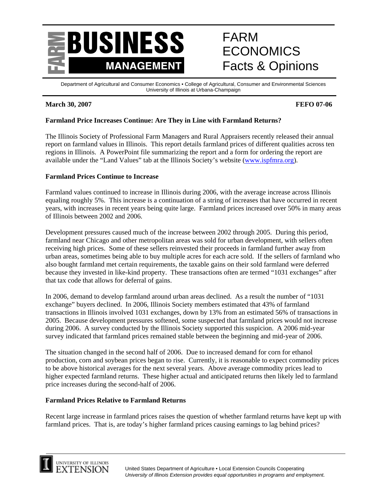

# FARM ECONOMICS Facts & Opinions

Department of Agricultural and Consumer Economics • College of Agricultural, Consumer and Environmental Sciences University of Illinois at Urbana-Champaign

# **March 30, 2007 FEFO 07-06**

# **Farmland Price Increases Continue: Are They in Line with Farmland Returns?**

The Illinois Society of Professional Farm Managers and Rural Appraisers recently released their annual report on farmland values in Illinois. This report details farmland prices of different qualities across ten regions in Illinois. A PowerPoint file summarizing the report and a form for ordering the report are available under the "Land Values" tab at the Illinois Society's website (www.ispfmra.org).

### **Farmland Prices Continue to Increase**

Farmland values continued to increase in Illinois during 2006, with the average increase across Illinois equaling roughly 5%. This increase is a continuation of a string of increases that have occurred in recent years, with increases in recent years being quite large. Farmland prices increased over 50% in many areas of Illinois between 2002 and 2006.

Development pressures caused much of the increase between 2002 through 2005. During this period, farmland near Chicago and other metropolitan areas was sold for urban development, with sellers often receiving high prices. Some of these sellers reinvested their proceeds in farmland further away from urban areas, sometimes being able to buy multiple acres for each acre sold. If the sellers of farmland who also bought farmland met certain requirements, the taxable gains on their sold farmland were deferred because they invested in like-kind property. These transactions often are termed "1031 exchanges" after that tax code that allows for deferral of gains.

In 2006, demand to develop farmland around urban areas declined. As a result the number of "1031 exchange" buyers declined. In 2006, Illinois Society members estimated that 43% of farmland transactions in Illinois involved 1031 exchanges, down by 13% from an estimated 56% of transactions in 2005. Because development pressures softened, some suspected that farmland prices would not increase during 2006. A survey conducted by the Illinois Society supported this suspicion. A 2006 mid-year survey indicated that farmland prices remained stable between the beginning and mid-year of 2006.

The situation changed in the second half of 2006. Due to increased demand for corn for ethanol production, corn and soybean prices began to rise. Currently, it is reasonable to expect commodity prices to be above historical averages for the next several years. Above average commodity prices lead to higher expected farmland returns. These higher actual and anticipated returns then likely led to farmland price increases during the second-half of 2006.

#### **Farmland Prices Relative to Farmland Returns**

Recent large increase in farmland prices raises the question of whether farmland returns have kept up with farmland prices. That is, are today's higher farmland prices causing earnings to lag behind prices?

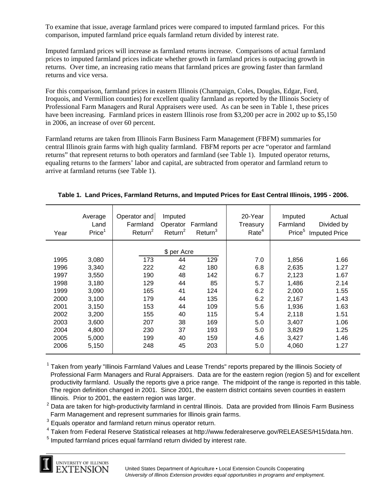To examine that issue, average farmland prices were compared to imputed farmland prices. For this comparison, imputed farmland price equals farmland return divided by interest rate.

Imputed farmland prices will increase as farmland returns increase. Comparisons of actual farmland prices to imputed farmland prices indicate whether growth in farmland prices is outpacing growth in returns. Over time, an increasing ratio means that farmland prices are growing faster than farmland returns and vice versa.

For this comparison, farmland prices in eastern Illinois (Champaign, Coles, Douglas, Edgar, Ford, Iroquois, and Vermillion counties) for excellent quality farmland as reported by the Illinois Society of Professional Farm Managers and Rural Appraisers were used. As can be seen in Table 1, these prices have been increasing. Farmland prices in eastern Illinois rose from \$3,200 per acre in 2002 up to \$5,150 in 2006, an increase of over 60 percent.

Farmland returns are taken from Illinois Farm Business Farm Management (FBFM) summaries for central Illinois grain farms with high quality farmland. FBFM reports per acre "operator and farmland returns" that represent returns to both operators and farmland (see Table 1). Imputed operator returns, equaling returns to the farmers' labor and capital, are subtracted from operator and farmland return to arrive at farmland returns (see Table 1).

| Year | Average<br>Land<br>Price <sup>1</sup> | Operator and<br>Farmland<br>Return <sup>2</sup> | Imputed<br>Operator<br>Return <sup>2</sup> | Farmland<br>Return <sup>3</sup> | 20-Year<br>Treasury<br>Rate <sup>4</sup> | Imputed<br>Farmland<br>Price <sup>5</sup> | Actual<br>Divided by<br><b>Imputed Price</b> |
|------|---------------------------------------|-------------------------------------------------|--------------------------------------------|---------------------------------|------------------------------------------|-------------------------------------------|----------------------------------------------|
|      |                                       | \$ per Acre                                     |                                            |                                 |                                          |                                           |                                              |
| 1995 | 3,080                                 | 173                                             | 44                                         | 129                             | 7.0                                      | 1,856                                     | 1.66                                         |
| 1996 | 3,340                                 | 222                                             | 42                                         | 180                             | 6.8                                      | 2,635                                     | 1.27                                         |
| 1997 | 3,550                                 | 190                                             | 48                                         | 142                             | 6.7                                      | 2,123                                     | 1.67                                         |
| 1998 | 3,180                                 | 129                                             | 44                                         | 85                              | 5.7                                      | 1,486                                     | 2.14                                         |
| 1999 | 3,090                                 | 165                                             | 41                                         | 124                             | 6.2                                      | 2,000                                     | 1.55                                         |
| 2000 | 3,100                                 | 179                                             | 44                                         | 135                             | 6.2                                      | 2,167                                     | 1.43                                         |
| 2001 | 3,150                                 | 153                                             | 44                                         | 109                             | 5.6                                      | 1,936                                     | 1.63                                         |
| 2002 | 3,200                                 | 155                                             | 40                                         | 115                             | 5.4                                      | 2,118                                     | 1.51                                         |
| 2003 | 3,600                                 | 207                                             | 38                                         | 169                             | 5.0                                      | 3,407                                     | 1.06                                         |
| 2004 | 4,800                                 | 230                                             | 37                                         | 193                             | 5.0                                      | 3,829                                     | 1.25                                         |
| 2005 | 5,000                                 | 199                                             | 40                                         | 159                             | 4.6                                      | 3,427                                     | 1.46                                         |
| 2006 | 5,150                                 | 248                                             | 45                                         | 203                             | 5.0                                      | 4,060                                     | 1.27                                         |

### **Table 1. Land Prices, Farmland Returns, and Imputed Prices for East Central Illinois, 1995 - 2006.**

<sup>1</sup> Taken from yearly "Illinois Farmland Values and Lease Trends" reports prepared by the Illinois Society of Professional Farm Managers and Rural Appraisers. Data are for the eastern region (region 5) and for excellent productivity farmland. Usually the reports give a price range. The midpoint of the range is reported in this table. The region definition changed in 2001. Since 2001, the eastern district contains seven counties in eastern Illinois. Prior to 2001, the eastern region was larger.

 $^{\text{2}}$  Data are taken for high-productivity farmland in central Illinois. Data are provided from Illinois Farm Business Farm Management and represent summaries for Illinois grain farms.

 $3$  Equals operator and farmland return minus operator return.

<sup>4</sup> Taken from Federal Reserve Statistical releases at http://www.federalreserve.gov/RELEASES/H15/data.htm.

 $<sup>5</sup>$  Imputed farmland prices equal farmland return divided by interest rate.</sup>